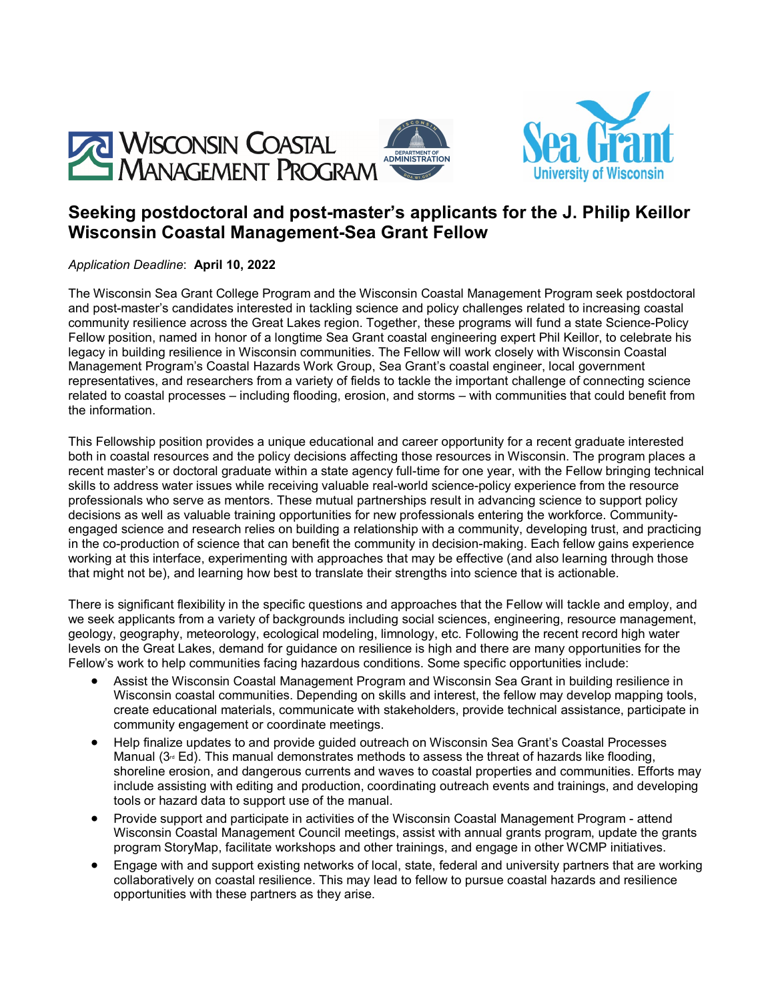

# **Seeking postdoctoral and post-master's applicants for the J. Philip Keillor Wisconsin Coastal Management-Sea Grant Fellow**

*Application Deadline*: **April 10, 2022**

The Wisconsin Sea Grant College Program and the Wisconsin Coastal Management Program seek postdoctoral and post-master's candidates interested in tackling science and policy challenges related to increasing coastal community resilience across the Great Lakes region. Together, these programs will fund a state Science-Policy Fellow position, named in honor of a longtime Sea Grant coastal engineering expert Phil Keillor, to celebrate his legacy in building resilience in Wisconsin communities. The Fellow will work closely with Wisconsin Coastal Management Program's Coastal Hazards Work Group, Sea Grant's coastal engineer, local government representatives, and researchers from a variety of fields to tackle the important challenge of connecting science related to coastal processes – including flooding, erosion, and storms – with communities that could benefit from the information.

This Fellowship position provides a unique educational and career opportunity for a recent graduate interested both in coastal resources and the policy decisions affecting those resources in Wisconsin. The program places a recent master's or doctoral graduate within a state agency full-time for one year, with the Fellow bringing technical skills to address water issues while receiving valuable real-world science-policy experience from the resource professionals who serve as mentors. These mutual partnerships result in advancing science to support policy decisions as well as valuable training opportunities for new professionals entering the workforce. Communityengaged science and research relies on building a relationship with a community, developing trust, and practicing in the co-production of science that can benefit the community in decision-making. Each fellow gains experience working at this interface, experimenting with approaches that may be effective (and also learning through those that might not be), and learning how best to translate their strengths into science that is actionable.

There is significant flexibility in the specific questions and approaches that the Fellow will tackle and employ, and we seek applicants from a variety of backgrounds including social sciences, engineering, resource management, geology, geography, meteorology, ecological modeling, limnology, etc. Following the recent record high water levels on the Great Lakes, demand for guidance on resilience is high and there are many opportunities for the Fellow's work to help communities facing hazardous conditions. Some specific opportunities include:

- Assist the Wisconsin Coastal Management Program and Wisconsin Sea Grant in building resilience in Wisconsin coastal communities. Depending on skills and interest, the fellow may develop mapping tools, create educational materials, communicate with stakeholders, provide technical assistance, participate in community engagement or coordinate meetings.
- Help finalize updates to and provide guided outreach on Wisconsin Sea Grant's Coastal Processes Manual ( $3^\circ$  Ed). This manual demonstrates methods to assess the threat of hazards like flooding, shoreline erosion, and dangerous currents and waves to coastal properties and communities. Efforts may include assisting with editing and production, coordinating outreach events and trainings, and developing tools or hazard data to support use of the manual.
- Provide support and participate in activities of the Wisconsin Coastal Management Program attend Wisconsin Coastal Management Council meetings, assist with annual grants program, update the grants program StoryMap, facilitate workshops and other trainings, and engage in other WCMP initiatives.
- Engage with and support existing networks of local, state, federal and university partners that are working collaboratively on coastal resilience. This may lead to fellow to pursue coastal hazards and resilience opportunities with these partners as they arise.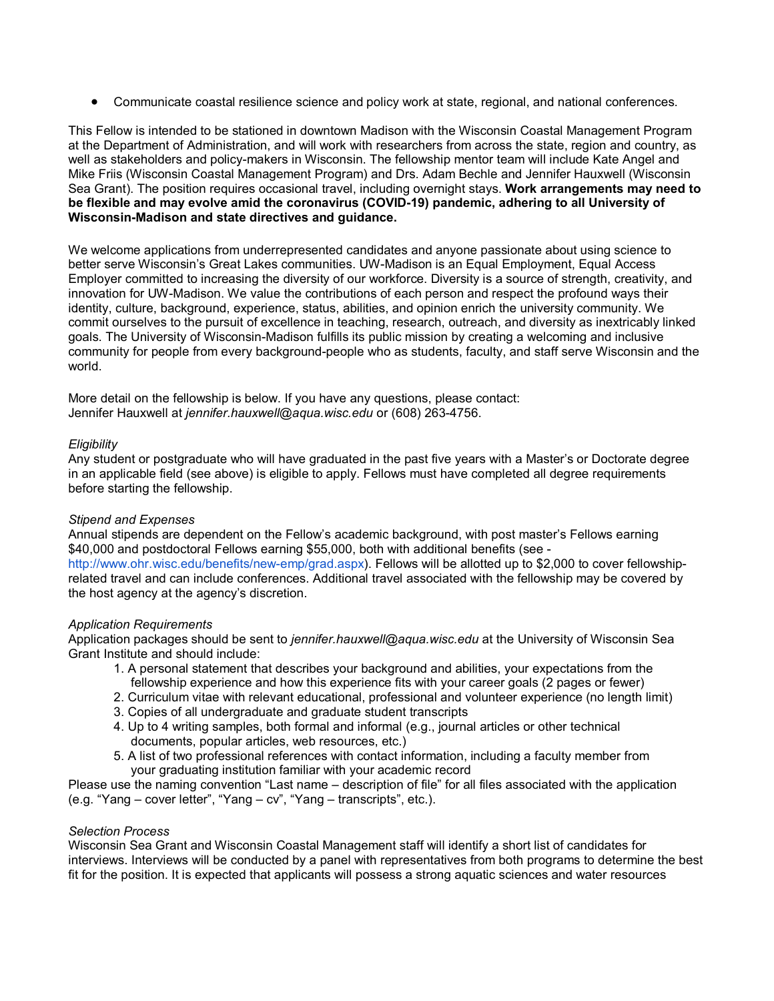• Communicate coastal resilience science and policy work at state, regional, and national conferences.

This Fellow is intended to be stationed in downtown Madison with the Wisconsin Coastal Management Program at the Department of Administration, and will work with researchers from across the state, region and country, as well as stakeholders and policy-makers in Wisconsin. The fellowship mentor team will include Kate Angel and Mike Friis (Wisconsin Coastal Management Program) and Drs. Adam Bechle and Jennifer Hauxwell (Wisconsin Sea Grant). The position requires occasional travel, including overnight stays. **Work arrangements may need to be flexible and may evolve amid the coronavirus (COVID-19) pandemic, adhering to all University of Wisconsin-Madison and state directives and guidance.**

We welcome applications from underrepresented candidates and anyone passionate about using science to better serve Wisconsin's Great Lakes communities. UW-Madison is an Equal Employment, Equal Access Employer committed to increasing the diversity of our workforce. Diversity is a source of strength, creativity, and innovation for UW-Madison. We value the contributions of each person and respect the profound ways their identity, culture, background, experience, status, abilities, and opinion enrich the university community. We commit ourselves to the pursuit of excellence in teaching, research, outreach, and diversity as inextricably linked goals. The University of Wisconsin-Madison fulfills its public mission by creating a welcoming and inclusive community for people from every background-people who as students, faculty, and staff serve Wisconsin and the world.

More detail on the fellowship is below. If you have any questions, please contact: Jennifer Hauxwell at *jennifer.hauxwell@aqua.wisc.edu* or (608) 263-4756.

## *Eligibility*

Any student or postgraduate who will have graduated in the past five years with a Master's or Doctorate degree in an applicable field (see above) is eligible to apply. Fellows must have completed all degree requirements before starting the fellowship.

## *Stipend and Expenses*

Annual stipends are dependent on the Fellow's academic background, with post master's Fellows earning \$40,000 and postdoctoral Fellows earning \$55,000, both with additional benefits (see  [http://www.ohr.wisc.edu/benefits/new-emp/grad.aspx\)](http://www.ohr.wisc.edu/benefits/new-emp/grad.aspx). Fellows will be allotted up to \$2,000 to cover fellowshiprelated travel and can include conferences. Additional travel associated with the fellowship may be covered by the host agency at the agency's discretion.

## *Application Requirements*

Application packages should be sent to *jennifer.hauxwell@aqua.wisc.edu* at the University of Wisconsin Sea Grant Institute and should include:

- 1. A personal statement that describes your background and abilities, your expectations from the fellowship experience and how this experience fits with your career goals (2 pages or fewer)
- 2. Curriculum vitae with relevant educational, professional and volunteer experience (no length limit)
- 3. Copies of all undergraduate and graduate student transcripts
- 4. Up to 4 writing samples, both formal and informal (e.g., journal articles or other technical documents, popular articles, web resources, etc.)
- 5. A list of two professional references with contact information, including a faculty member from your graduating institution familiar with your academic record

Please use the naming convention "Last name – description of file" for all files associated with the application (e.g. "Yang – cover letter", "Yang – cv", "Yang – transcripts", etc.).

## *Selection Process*

Wisconsin Sea Grant and Wisconsin Coastal Management staff will identify a short list of candidates for interviews. Interviews will be conducted by a panel with representatives from both programs to determine the best fit for the position. It is expected that applicants will possess a strong aquatic sciences and water resources